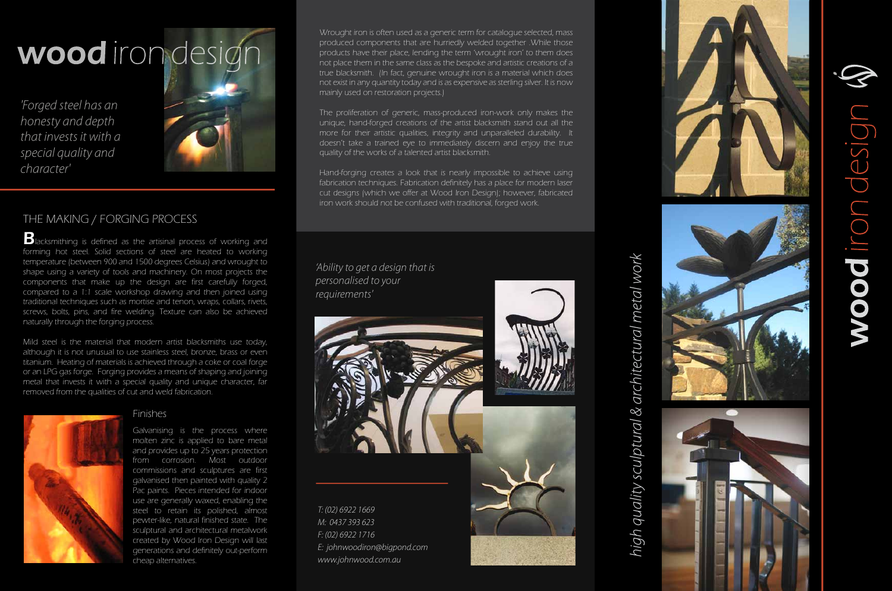# THE MAKING / FORGING PROCESS

**B**lacksmithing is defined as the artisinal process of working and forming hot steel. Solid sections of steel are heated to working temperature (between 900 and 1500 degrees Celsius) and wrought to shape using a variety of tools and machinery. On most projects the components that make up the design are first carefully forged, compared to a 1:1 scale workshop drawing and then joined using traditional techniques such as mortise and tenon, wraps, collars, rivets, screws, bolts, pins, and fire welding. Texture can also be achieved naturally through the forging process.

Mild steel is the material that modern artist blacksmiths use today, although it is not unusual to use stainless steel, bronze, brass or even titanium. Heating of materials is achieved through a coke or coal forge or an LPG gas forge. Forging provides a means of shaping and joining metal that invests it with a special quality and unique character, far removed from the qualities of cut and weld fabrication.



### Finishes

Galvanising is the process where molten zinc is applied to bare metal and provides up to 25 years protection from corrosion. Most outdoor commissions and sculptures are first galvanised then painted with quality 2 Pac paints. Pieces intended for indoor use are generally waxed, enabling the steel to retain its polished, almost pewter-like, natural finished state. The sculptural and architectural metalwork created by Wood Iron Design will last generations and definitely out-perform cheap alternatives.

Wrought iron is often used as a generic term for catalogue selected, mass produced components that are hurriedly welded together .While those products have their place, lending the term 'wrought iron' to them does not place them in the same class as the bespoke and artistic creations of a true blacksmith. (In fact, genuine wrought iron is a material which does not exist in any quantity today and is as expensive as sterling silver. It is now mainly used on restoration projects.)

The proliferation of generic, mass-produced iron-work only makes the unique, hand-forged creations of the artist blacksmith stand out all the more for their artistic qualities, integrity and unparalleled durability. It doesn't take a trained eye to immediately discern and enjoy the true quality of the works of a talented artist blacksmith.

Hand-forging creates a look that is nearly impossible to achieve using fabrication techniques. Fabrication definitely has a place for modern laser cut designs (which we offer at Wood Iron Design); however, fabricated iron work should not be confused with traditional, forged work.

*T: (02) 6922 1669 M: 0437 393 623 F: (02) 6922 1716 E: johnwoodiron@bigpond.com www.johnwood.com.au*



# high quality sculptural & architectural metal work









### *'Ability to get a design that is personalised to your requirements'*

wood iron design

*'Forged steel has an honesty and depth that invests it with a special quality and character'*